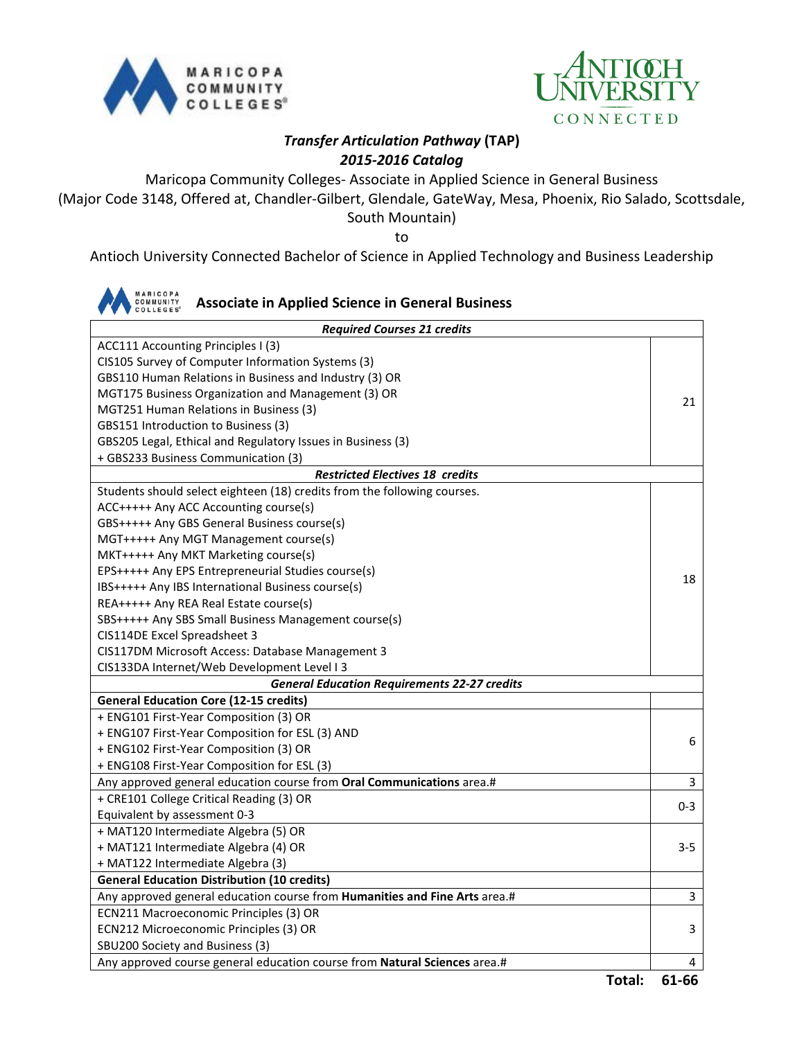



## *Transfer Articulation Pathway* **(TAP)** *2015-2016 Catalog*

Maricopa Community Colleges- Associate in Applied Science in General Business (Major Code 3148, Offered at, Chandler-Gilbert, Glendale, GateWay, Mesa, Phoenix, Rio Salado, Scottsdale, South Mountain)

to

Antioch University Connected Bachelor of Science in Applied Technology and Business Leadership

| <b>MARICOPA</b><br><b>Associate in Applied Science in General Business</b> |         |  |  |  |
|----------------------------------------------------------------------------|---------|--|--|--|
| <b>Required Courses 21 credits</b>                                         |         |  |  |  |
| ACC111 Accounting Principles I (3)                                         |         |  |  |  |
| CIS105 Survey of Computer Information Systems (3)                          |         |  |  |  |
| GBS110 Human Relations in Business and Industry (3) OR                     |         |  |  |  |
| MGT175 Business Organization and Management (3) OR                         |         |  |  |  |
| MGT251 Human Relations in Business (3)                                     |         |  |  |  |
| GBS151 Introduction to Business (3)                                        |         |  |  |  |
| GBS205 Legal, Ethical and Regulatory Issues in Business (3)                |         |  |  |  |
| + GBS233 Business Communication (3)                                        |         |  |  |  |
| <b>Restricted Electives 18 credits</b>                                     |         |  |  |  |
| Students should select eighteen (18) credits from the following courses.   |         |  |  |  |
| ACC+++++ Any ACC Accounting course(s)                                      |         |  |  |  |
| GBS+++++ Any GBS General Business course(s)                                |         |  |  |  |
| MGT+++++ Any MGT Management course(s)                                      |         |  |  |  |
| MKT+++++ Any MKT Marketing course(s)                                       |         |  |  |  |
| EPS+++++ Any EPS Entrepreneurial Studies course(s)                         | 18      |  |  |  |
| IBS+++++ Any IBS International Business course(s)                          |         |  |  |  |
| REA+++++ Any REA Real Estate course(s)                                     |         |  |  |  |
| SBS+++++ Any SBS Small Business Management course(s)                       |         |  |  |  |
| CIS114DE Excel Spreadsheet 3                                               |         |  |  |  |
| CIS117DM Microsoft Access: Database Management 3                           |         |  |  |  |
| CIS133DA Internet/Web Development Level I 3                                |         |  |  |  |
| <b>General Education Requirements 22-27 credits</b>                        |         |  |  |  |
| <b>General Education Core (12-15 credits)</b>                              |         |  |  |  |
| + ENG101 First-Year Composition (3) OR                                     |         |  |  |  |
| + ENG107 First-Year Composition for ESL (3) AND                            | 6       |  |  |  |
| + ENG102 First-Year Composition (3) OR                                     |         |  |  |  |
| + ENG108 First-Year Composition for ESL (3)                                |         |  |  |  |
| Any approved general education course from Oral Communications area.#      | 3       |  |  |  |
| + CRE101 College Critical Reading (3) OR                                   | 0-3     |  |  |  |
| Equivalent by assessment 0-3                                               |         |  |  |  |
| + MAT120 Intermediate Algebra (5) OR                                       |         |  |  |  |
| + MAT121 Intermediate Algebra (4) OR                                       | $3 - 5$ |  |  |  |
| + MAT122 Intermediate Algebra (3)                                          |         |  |  |  |
| <b>General Education Distribution (10 credits)</b>                         |         |  |  |  |
| Any approved general education course from Humanities and Fine Arts area.# | 3       |  |  |  |
| ECN211 Macroeconomic Principles (3) OR                                     |         |  |  |  |
| ECN212 Microeconomic Principles (3) OR                                     | 3       |  |  |  |
| SBU200 Society and Business (3)                                            |         |  |  |  |
| Any approved course general education course from Natural Sciences area.#  | 4       |  |  |  |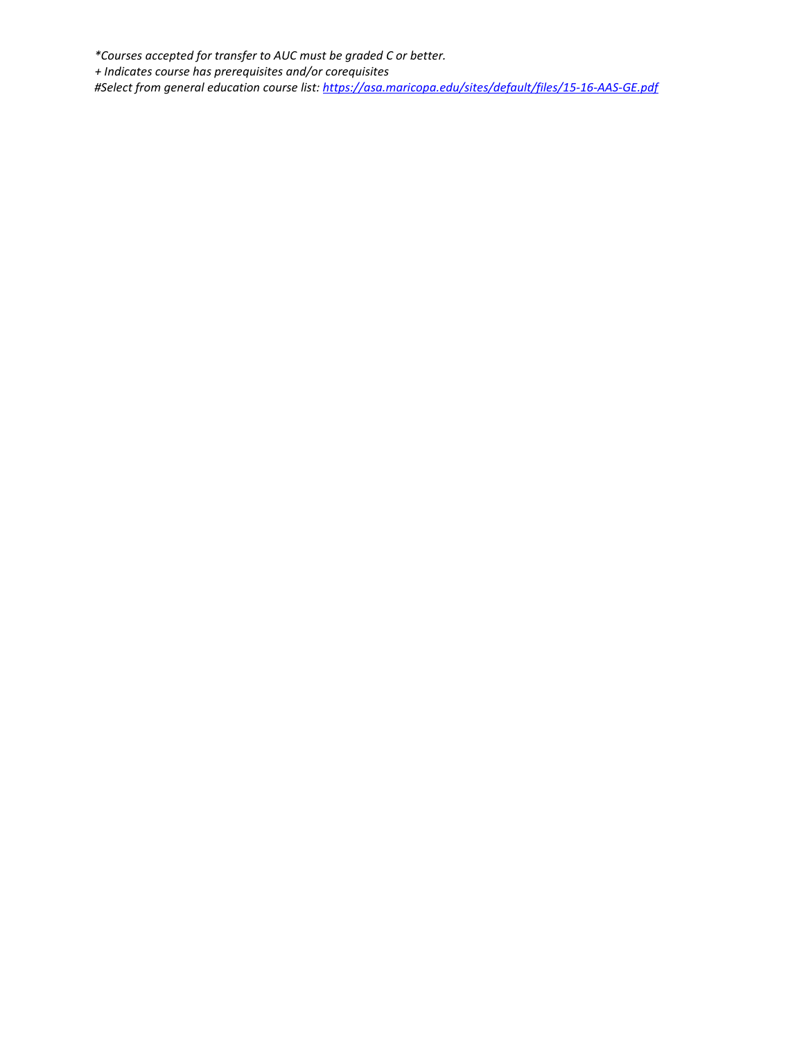*\*Courses accepted for transfer to AUC must be graded C or better. + Indicates course has prerequisites and/or corequisites #Select from general education course list:<https://asa.maricopa.edu/sites/default/files/15-16-AAS-GE.pdf>*